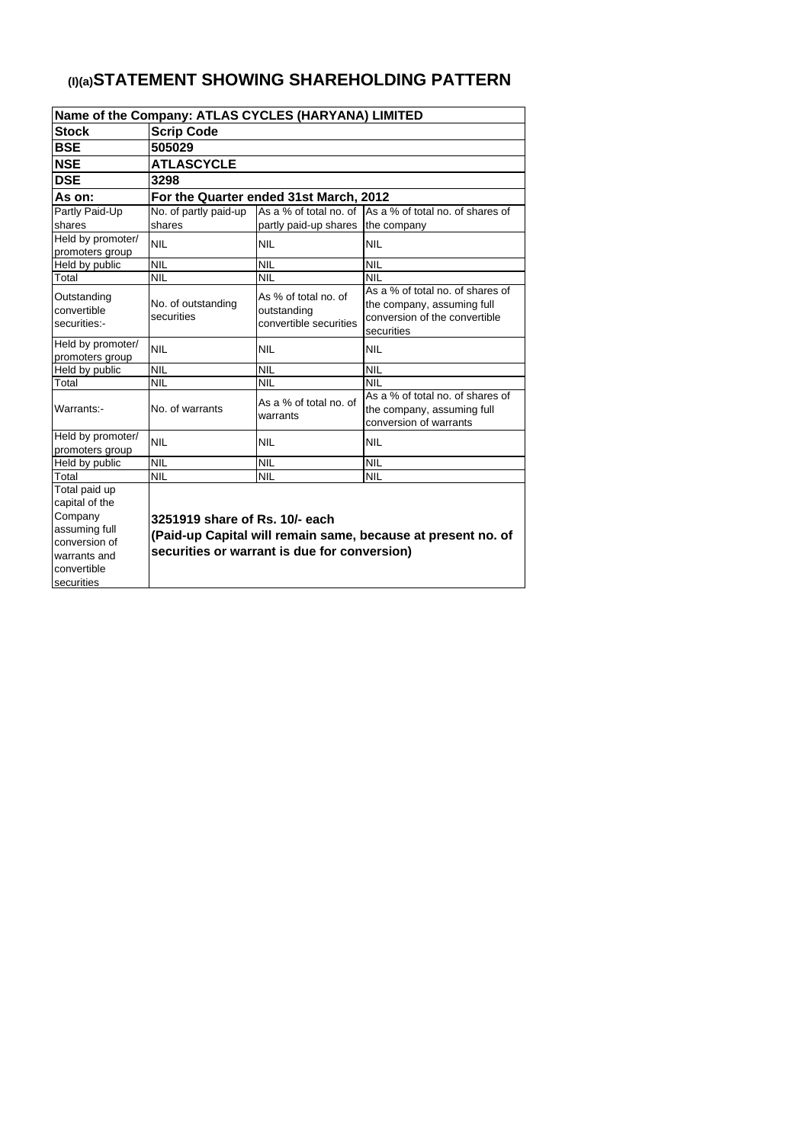| Name of the Company: ATLAS CYCLES (HARYANA) LIMITED |                                                              |                                                               |                                                                                                               |  |  |  |  |  |  |
|-----------------------------------------------------|--------------------------------------------------------------|---------------------------------------------------------------|---------------------------------------------------------------------------------------------------------------|--|--|--|--|--|--|
| <b>Stock</b>                                        | <b>Scrip Code</b>                                            |                                                               |                                                                                                               |  |  |  |  |  |  |
| <b>BSE</b>                                          | 505029                                                       |                                                               |                                                                                                               |  |  |  |  |  |  |
| <b>NSE</b>                                          | <b>ATLASCYCLE</b>                                            |                                                               |                                                                                                               |  |  |  |  |  |  |
| <b>DSE</b>                                          | 3298                                                         |                                                               |                                                                                                               |  |  |  |  |  |  |
| As on:                                              |                                                              | For the Quarter ended 31st March, 2012                        |                                                                                                               |  |  |  |  |  |  |
| Partly Paid-Up                                      | No. of partly paid-up                                        |                                                               | As a % of total no, of As a % of total no, of shares of                                                       |  |  |  |  |  |  |
| shares                                              | shares                                                       | partly paid-up shares   the company                           |                                                                                                               |  |  |  |  |  |  |
| Held by promoter/<br>promoters group                | <b>NIL</b>                                                   | <b>NIL</b>                                                    | <b>NIL</b>                                                                                                    |  |  |  |  |  |  |
| Held by public                                      | <b>NIL</b>                                                   | <b>NIL</b>                                                    | <b>NIL</b>                                                                                                    |  |  |  |  |  |  |
| Total                                               | <b>NIL</b>                                                   | <b>NIL</b>                                                    | <b>NIL</b>                                                                                                    |  |  |  |  |  |  |
| Outstanding<br>convertible<br>securities:-          | No. of outstanding<br>securities                             | As % of total no. of<br>outstanding<br>convertible securities | As a % of total no, of shares of<br>the company, assuming full<br>conversion of the convertible<br>securities |  |  |  |  |  |  |
| Held by promoter/<br>promoters group                | <b>NIL</b>                                                   | <b>NIL</b>                                                    | <b>NIL</b>                                                                                                    |  |  |  |  |  |  |
| Held by public                                      | <b>NIL</b>                                                   | <b>NIL</b>                                                    | <b>NIL</b>                                                                                                    |  |  |  |  |  |  |
| Total                                               | <b>NIL</b>                                                   | <b>NIL</b>                                                    | <b>NIL</b>                                                                                                    |  |  |  |  |  |  |
| Warrants:-                                          | No. of warrants                                              | As a % of total no. of<br>warrants                            | As a % of total no. of shares of<br>the company, assuming full<br>conversion of warrants                      |  |  |  |  |  |  |
| Held by promoter/                                   | <b>NIL</b>                                                   | <b>NIL</b>                                                    | <b>NIL</b>                                                                                                    |  |  |  |  |  |  |
| promoters group                                     |                                                              |                                                               |                                                                                                               |  |  |  |  |  |  |
| Held by public                                      | <b>NIL</b>                                                   | <b>NIL</b>                                                    | <b>NIL</b>                                                                                                    |  |  |  |  |  |  |
| Total                                               | <b>NIL</b>                                                   | <b>NIL</b>                                                    | <b>NIL</b>                                                                                                    |  |  |  |  |  |  |
| Total paid up                                       |                                                              |                                                               |                                                                                                               |  |  |  |  |  |  |
| capital of the                                      |                                                              |                                                               |                                                                                                               |  |  |  |  |  |  |
| Company                                             | 3251919 share of Rs. 10/- each                               |                                                               |                                                                                                               |  |  |  |  |  |  |
| assuming full                                       | (Paid-up Capital will remain same, because at present no. of |                                                               |                                                                                                               |  |  |  |  |  |  |
| conversion of                                       | securities or warrant is due for conversion)                 |                                                               |                                                                                                               |  |  |  |  |  |  |
| warrants and                                        |                                                              |                                                               |                                                                                                               |  |  |  |  |  |  |
| convertible                                         |                                                              |                                                               |                                                                                                               |  |  |  |  |  |  |
| securities                                          |                                                              |                                                               |                                                                                                               |  |  |  |  |  |  |

# **(I)(a)STATEMENT SHOWING SHAREHOLDING PATTERN**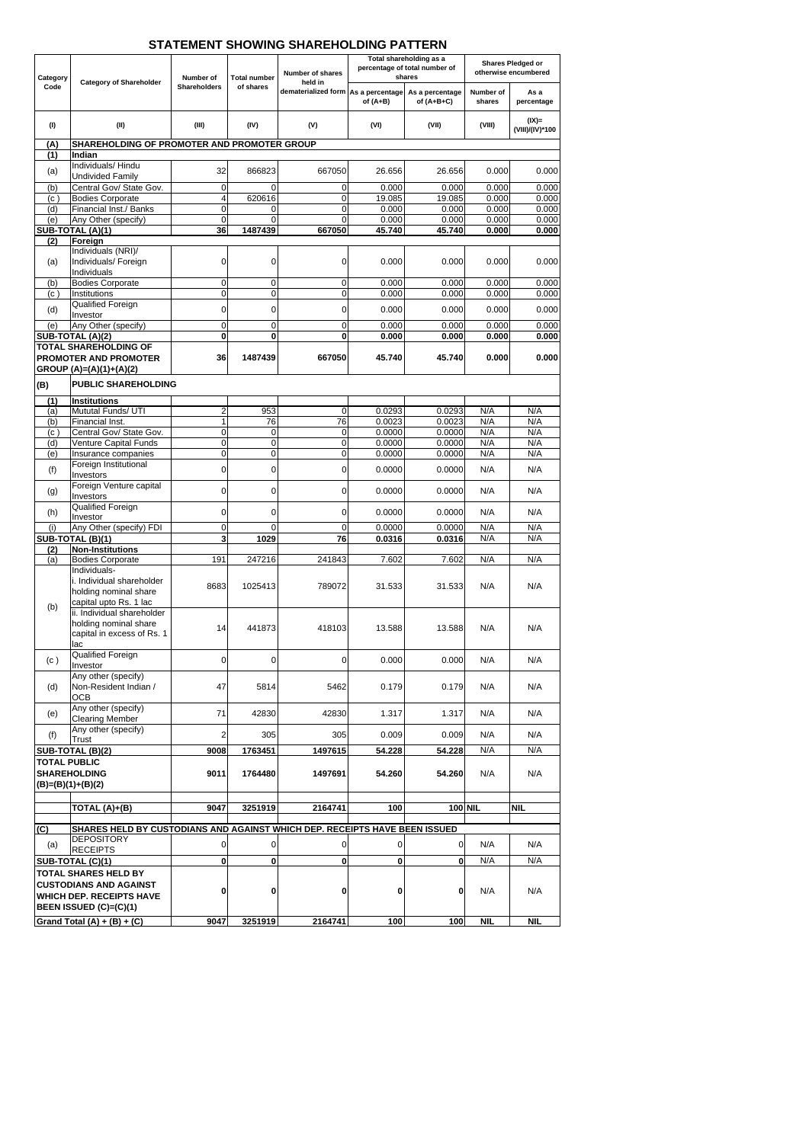|                     |                                                                            |                     |                     |                                                                | Total shareholding as a<br>percentage of total number of |                  | <b>Shares Pledged or</b> |                             |
|---------------------|----------------------------------------------------------------------------|---------------------|---------------------|----------------------------------------------------------------|----------------------------------------------------------|------------------|--------------------------|-----------------------------|
| Category            |                                                                            | Number of           | Total number        | <b>Number of shares</b>                                        |                                                          | shares           |                          | otherwise encumbered        |
| Code                | <b>Category of Shareholder</b>                                             | <b>Shareholders</b> | of shares           | held in<br>dematerialized form As a percentage As a percentage | of $(A+B)$                                               | of $(A+B+C)$     | Number of<br>shares      | As a<br>percentage          |
| (1)                 | (II)                                                                       | (III)               | (IV)                | (V)                                                            | (VI)                                                     | (VII)            | (VIII)                   | $(IX)$ =<br>(VIII)/(IV)*100 |
| (A)                 | SHAREHOLDING OF PROMOTER AND PROMOTER GROUP                                |                     |                     |                                                                |                                                          |                  |                          |                             |
| (1)                 | Indian<br>Individuals/Hindu                                                |                     |                     |                                                                |                                                          |                  |                          |                             |
| (a)                 | <b>Undivided Family</b>                                                    | 32                  | 866823              | 667050                                                         | 26.656                                                   | 26.656           | 0.000                    | 0.000                       |
| (b)                 | Central Gov/ State Gov.                                                    | 0                   | 0                   | $\overline{0}$                                                 | 0.000                                                    | 0.000            | 0.000                    | 0.000                       |
| (c)                 | <b>Bodies Corporate</b>                                                    | 4                   | 620616              | $\pmb{0}$                                                      | 19.085                                                   | 19.085           | 0.000                    | 0.000                       |
| (d)                 | Financial Inst./ Banks                                                     | 0                   | 0                   | 0                                                              | 0.000                                                    | 0.000            | 0.000                    | 0.000                       |
| (e)                 | Any Other (specify)<br>SUB-TOTAL (A)(1)                                    | 0<br>36             | $\Omega$<br>1487439 | $\Omega$<br>667050                                             | 0.000<br>45.740                                          | 0.000<br>45.740  | 0.000<br>0.000           | 0.000<br>0.000              |
| (2)                 | Foreign                                                                    |                     |                     |                                                                |                                                          |                  |                          |                             |
|                     | Individuals (NRI)/                                                         |                     |                     |                                                                |                                                          |                  |                          |                             |
| (a)                 | Individuals/ Foreign                                                       | 0                   | 0                   | $\mathbf 0$                                                    | 0.000                                                    | 0.000            | 0.000                    | 0.000                       |
| (b)                 | Individuals<br><b>Bodies Corporate</b>                                     | 0                   | 0                   | $\mathbf 0$                                                    | 0.000                                                    | 0.000            | 0.000                    | 0.000                       |
| (c)                 | Institutions                                                               | $\overline{0}$      | 0                   | $\overline{\mathsf{o}}$                                        | 0.000                                                    | 0.000            | 0.000                    | 0.000                       |
| (d)                 | Qualified Foreign                                                          | 0                   | 0                   | $\mathbf 0$                                                    | 0.000                                                    | 0.000            | 0.000                    | 0.000                       |
|                     | Investor                                                                   |                     |                     |                                                                |                                                          |                  |                          |                             |
| (e)                 | Any Other (specify)<br>SUB-TOTAL (A)(2)                                    | 0<br>0              | 0<br>$\mathbf 0$    | $\pmb{0}$<br>$\bf{0}$                                          | 0.000<br>0.000                                           | 0.000<br>0.000   | 0.000<br>0.000           | 0.000<br>0.000              |
|                     | <b>TOTAL SHAREHOLDING OF</b>                                               |                     |                     |                                                                |                                                          |                  |                          |                             |
|                     | PROMOTER AND PROMOTER                                                      | 36                  | 1487439             | 667050                                                         | 45.740                                                   | 45.740           | 0.000                    | 0.000                       |
|                     | GROUP $(A)=(A)(1)+(A)(2)$                                                  |                     |                     |                                                                |                                                          |                  |                          |                             |
| (B)                 | <b>PUBLIC SHAREHOLDING</b>                                                 |                     |                     |                                                                |                                                          |                  |                          |                             |
| (1)                 | <b>Institutions</b>                                                        |                     |                     |                                                                |                                                          |                  |                          |                             |
| (a)                 | Mututal Funds/ UTI                                                         | $\overline{c}$      | 953                 | $\mathbf 0$                                                    | 0.0293                                                   | 0.0293           | N/A                      | N/A                         |
| (b)                 | Financial Inst.                                                            | 1                   | $\overline{76}$     | 76                                                             | 0.0023                                                   | 0.0023           | N/A                      | N/A                         |
| (c)                 | Central Gov/ State Gov.                                                    | 0                   | 0                   | $\overline{0}$                                                 | 0.0000                                                   | 0.0000           | N/A                      | N/A                         |
| (d)<br>(e)          | Venture Capital Funds<br>Insurance companies                               | 0<br>0              | 0<br>0              | $\pmb{0}$<br>$\pmb{0}$                                         | 0.0000<br>0.0000                                         | 0.0000<br>0.0000 | N/A<br>N/A               | N/A<br>N/A                  |
|                     | Foreign Institutional                                                      |                     |                     |                                                                |                                                          |                  |                          |                             |
| (f)                 | Investors                                                                  | 0                   | 0                   | $\overline{0}$                                                 | 0.0000                                                   | 0.0000           | N/A                      | N/A                         |
| (g)                 | Foreign Venture capital                                                    | $\mathbf 0$         | $\overline{0}$      | $\overline{0}$                                                 | 0.0000                                                   | 0.0000           | N/A                      | N/A                         |
|                     | Investors<br>Qualified Foreign                                             |                     |                     |                                                                |                                                          |                  |                          |                             |
| (h)                 | Investor                                                                   | 0                   | 0                   | $\overline{0}$                                                 | 0.0000                                                   | 0.0000           | N/A                      | N/A                         |
| (i)                 | Any Other (specify) FDI                                                    | 0                   | $\mathbf 0$         | $\pmb{0}$                                                      | 0.0000                                                   | 0.0000           | N/A                      | N/A                         |
|                     | SUB-TOTAL (B)(1)                                                           | 3                   | 1029                | 76                                                             | 0.0316                                                   | 0.0316           | N/A                      | N/A                         |
| (2)<br>(a)          | <b>Non-Institutions</b><br><b>Bodies Corporate</b>                         | 191                 | 247216              | 241843                                                         | $\overline{7.602}$                                       | 7.602            | N/A                      | N/A                         |
|                     | Individuals-                                                               |                     |                     |                                                                |                                                          |                  |                          |                             |
|                     | i. Individual shareholder                                                  | 8683                | 1025413             | 789072                                                         | 31.533                                                   | 31.533           | N/A                      | N/A                         |
|                     | holding nominal share                                                      |                     |                     |                                                                |                                                          |                  |                          |                             |
| (b)                 | capital upto Rs. 1 lac<br>ii. Individual shareholder                       |                     |                     |                                                                |                                                          |                  |                          |                             |
|                     | holding nominal share                                                      |                     |                     |                                                                |                                                          |                  |                          | N/A                         |
|                     | capital in excess of Rs. 1                                                 | 14                  | 441873              | 418103                                                         | 13.588                                                   | 13.588           | N/A                      |                             |
|                     | lac<br>Qualified Foreign                                                   |                     |                     |                                                                |                                                          |                  |                          |                             |
| (c)                 | Investor                                                                   | 0                   | 0                   | $\mathbf 0$                                                    | 0.000                                                    | 0.000            | N/A                      | N/A                         |
|                     | Any other (specify)                                                        |                     |                     |                                                                |                                                          |                  |                          |                             |
| (d)                 | Non-Resident Indian /                                                      | 47                  | 5814                | 5462                                                           | 0.179                                                    | 0.179            | N/A                      | N/A                         |
|                     | <b>OCB</b><br>Any other (specify)                                          |                     |                     |                                                                |                                                          |                  |                          |                             |
| (e)                 | <b>Clearing Member</b>                                                     | 71                  | 42830               | 42830                                                          | 1.317                                                    | 1.317            | N/A                      | N/A                         |
| (f)                 | Any other (specify)                                                        | 2                   | 305                 | 305                                                            | 0.009                                                    | 0.009            | N/A                      | N/A                         |
|                     | <b>Trust</b><br>SUB-TOTAL (B)(2)                                           | 9008                | 1763451             | 1497615                                                        | 34.228                                                   | 54.228           | N/A                      | N/A                         |
| <b>TOTAL PUBLIC</b> |                                                                            |                     |                     |                                                                |                                                          |                  |                          |                             |
|                     | <b>SHAREHOLDING</b>                                                        | 9011                | 1764480             | 1497691                                                        | 54.260                                                   | 54.260           | N/A                      | N/A                         |
|                     | $(B)=(B)(1)+(B)(2)$                                                        |                     |                     |                                                                |                                                          |                  |                          |                             |
|                     |                                                                            |                     |                     |                                                                |                                                          |                  |                          |                             |
|                     | TOTAL (A)+(B)                                                              | 9047                | 3251919             | 2164741                                                        | 100                                                      |                  | <b>100 NIL</b>           | <b>NIL</b>                  |
| (C)                 | SHARES HELD BY CUSTODIANS AND AGAINST WHICH DEP. RECEIPTS HAVE BEEN ISSUED |                     |                     |                                                                |                                                          |                  |                          |                             |
|                     | <b>DEPOSITORY</b>                                                          | 0                   | 0                   | $\mathbf 0$                                                    | 0                                                        | $\overline{0}$   | N/A                      | N/A                         |
| (a)                 | <b>RECEIPTS</b>                                                            |                     |                     |                                                                |                                                          |                  |                          |                             |
|                     | <b>SUB-TOTAL (C)(1)</b>                                                    | $\Omega$            | 0                   | $\mathbf{0}$                                                   | $\mathbf{0}$                                             | $\bf{0}$         | N/A                      | N/A                         |

# **STATEMENT SHOWING SHAREHOLDING PATTERN**

|                                                                                                                                                  |      |         |         |     |     | .          |            |
|--------------------------------------------------------------------------------------------------------------------------------------------------|------|---------|---------|-----|-----|------------|------------|
| <b>ITOTAL SHARES HELD BY</b><br><b>ICUSTODIANS AND AGAINST</b><br><b>IWHICH DEP. RECEIPTS HAVE</b><br><b>BEEN ISSUED <math>(C)=(C)(1)</math></b> |      |         |         | 01  |     | N/A        | N/A        |
| $\vert$ Grand Total (A) + (B) + (C)                                                                                                              | 9047 | 3251919 | 2164741 | 100 | 100 | <b>NIL</b> | <b>NIL</b> |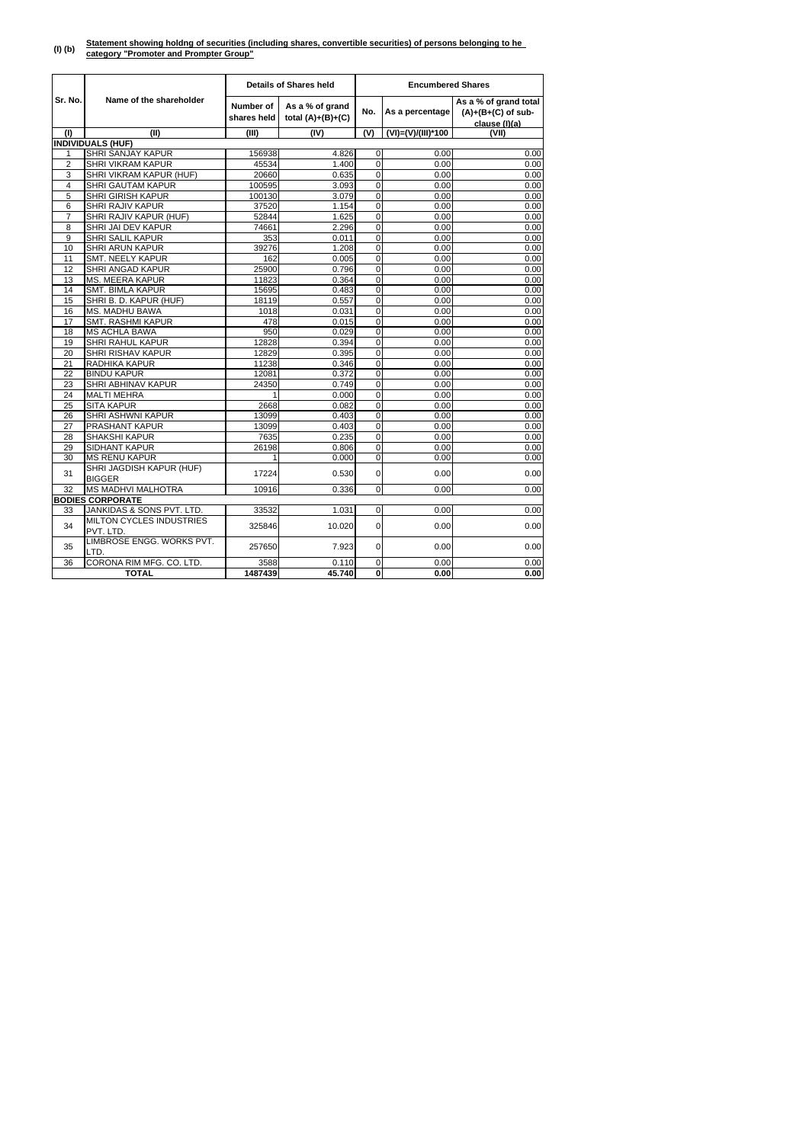#### **(I) (b) Statement showing holdng of securities (including shares, convertible securities) of persons belonging to he category "Promoter and Prompter Group"**

|                 |                                              |                                                                           | <b>Details of Shares held</b> | <b>Encumbered Shares</b> |                    |                                                                |  |
|-----------------|----------------------------------------------|---------------------------------------------------------------------------|-------------------------------|--------------------------|--------------------|----------------------------------------------------------------|--|
| Sr. No.         | Name of the shareholder                      | <b>Number of</b><br>As a % of grand<br>shares held<br>total $(A)+(B)+(C)$ |                               | No.                      | As a percentage    | As a % of grand total<br>$(A)+(B+(C)$ of sub-<br>clause (I)(a) |  |
| (1)             | (II)                                         | (III)                                                                     | (IV)                          | (V)                      | (VI)=(V)/(III)*100 | (VII)                                                          |  |
|                 | <b>INDIVIDUALS (HUF)</b>                     |                                                                           |                               |                          |                    |                                                                |  |
| 1               | <b>SHRI SANJAY KAPUR</b>                     | 156938                                                                    | 4.826                         | $\overline{0}$           | 0.00               | 0.00                                                           |  |
| $\overline{2}$  | <b>SHRI VIKRAM KAPUR</b>                     | 45534                                                                     | 1.400                         | 0                        | 0.00               | 0.00                                                           |  |
| 3               | SHRI VIKRAM KAPUR (HUF)                      | 20660                                                                     | 0.635                         | 0                        | 0.00               | 0.00                                                           |  |
| $\overline{4}$  | SHRI GAUTAM KAPUR                            | 100595                                                                    | 3.093                         | 0                        | 0.00               | 0.00                                                           |  |
| 5               | <b>SHRI GIRISH KAPUR</b>                     | 100130                                                                    | 3.079                         | 0                        | 0.00               | 0.00                                                           |  |
| 6               | SHRI RAJIV KAPUR                             | 37520                                                                     | 1.154                         | 0                        | 0.00               | 0.00                                                           |  |
| 7               | SHRI RAJIV KAPUR (HUF)                       | 52844                                                                     | 1.625                         | $\overline{0}$           | 0.00               | 0.00                                                           |  |
| 8               | SHRI JAI DEV KAPUR                           | 74661                                                                     | 2.296                         | 0                        | 0.00               | 0.00                                                           |  |
| $\overline{9}$  | SHRI SALIL KAPUR                             | 353                                                                       | 0.011                         | 0                        | 0.00               | 0.00                                                           |  |
| 10              | <b>SHRI ARUN KAPUR</b>                       | 39276                                                                     | 1.208                         | 0                        | 0.00               | 0.00                                                           |  |
| 11              | <b>SMT. NEELY KAPUR</b>                      | 162                                                                       | 0.005                         | 0                        | 0.00               | 0.00                                                           |  |
| 12              | SHRI ANGAD KAPUR                             | 25900                                                                     | 0.796                         | 0                        | 0.00               | 0.00                                                           |  |
| 13              | MS. MEERA KAPUR                              | 11823                                                                     | 0.364                         | 0                        | 0.00               | 0.00                                                           |  |
| 14              | SMT. BIMLA KAPUR                             | 15695                                                                     | 0.483                         | 0                        | 0.00               | 0.00                                                           |  |
| 15              | SHRI B. D. KAPUR (HUF)                       | 18119                                                                     | 0.557                         | 0                        | 0.00               | 0.00                                                           |  |
| 16              | <b>MS. MADHU BAWA</b>                        | 1018                                                                      | 0.031                         | 0                        | 0.00               | 0.00                                                           |  |
| $\overline{17}$ | <b>SMT. RASHMI KAPUR</b>                     | 478                                                                       | 0.015                         | 0                        | 0.00               | 0.00                                                           |  |
| 18              | <b>MS ACHLA BAWA</b>                         | 950                                                                       | 0.029                         | 0                        | 0.00               | 0.00                                                           |  |
| 19              | SHRI RAHUL KAPUR                             | 12828                                                                     | 0.394                         | 0                        | 0.00               | 0.00                                                           |  |
| 20              | SHRI RISHAV KAPUR                            | 12829                                                                     | 0.395                         | 0                        | 0.00               | 0.00                                                           |  |
| 21              | RADHIKA KAPUR                                | 11238                                                                     | 0.346                         | 0                        | 0.00               | 0.00                                                           |  |
| 22              | <b>BINDU KAPUR</b>                           | 12081                                                                     | 0.372                         | 0                        | 0.00               | 0.00                                                           |  |
| 23              | <b>SHRI ABHINAV KAPUR</b>                    | 24350                                                                     | 0.749                         | 0                        | 0.00               | 0.00                                                           |  |
| 24              | <b>MALTI MEHRA</b>                           | 1                                                                         | 0.000                         | 0                        | 0.00               | 0.00                                                           |  |
| 25              | <b>SITA KAPUR</b>                            | 2668                                                                      | 0.082                         | 0                        | 0.00               | 0.00                                                           |  |
| 26              | SHRI ASHWNI KAPUR                            | 13099                                                                     | 0.403                         | 0                        | 0.00               | 0.00                                                           |  |
| 27              | <b>PRASHANT KAPUR</b>                        | 13099                                                                     | 0.403                         | 0                        | 0.00               | 0.00                                                           |  |
| 28              | <b>SHAKSHI KAPUR</b>                         | 7635                                                                      | 0.235                         | 0                        | 0.00               | 0.00                                                           |  |
| 29              | <b>SIDHANT KAPUR</b>                         | 26198                                                                     | 0.806                         | 0                        | 0.00               | 0.00                                                           |  |
| 30              | <b>MS RENU KAPUR</b>                         | 1                                                                         | 0.000                         | 0                        | 0.00               | 0.00                                                           |  |
| 31              | SHRI JAGDISH KAPUR (HUF)<br><b>BIGGER</b>    | 17224                                                                     | 0.530                         | $\overline{0}$           | 0.00               | 0.00                                                           |  |
| 32              | <b>MS MADHVI MALHOTRA</b>                    | 10916                                                                     | 0.336                         | $\overline{0}$           | 0.00               | 0.00                                                           |  |
|                 | <b>BODIES CORPORATE</b>                      |                                                                           |                               |                          |                    |                                                                |  |
| 33              | JANKIDAS & SONS PVT. LTD.                    | 33532                                                                     | 1.031                         | $\overline{0}$           | 0.00               | 0.00                                                           |  |
| 34              | <b>MILTON CYCLES INDUSTRIES</b><br>PVT. LTD. | 325846                                                                    | 10.020                        | $\overline{0}$           | 0.00               | 0.00                                                           |  |
| 35              | LIMBROSE ENGG. WORKS PVT.<br>LTD.            | 257650                                                                    | 7.923                         | $\overline{O}$           | 0.00               | 0.00                                                           |  |
| 36              | CORONA RIM MFG. CO. LTD.                     | 3588                                                                      | 0.110                         | $\overline{0}$           | 0.00               | 0.00                                                           |  |
|                 | <b>TOTAL</b>                                 | 1487439                                                                   | 45.740                        | $\mathbf{0}$             | 0.00               | 0.00                                                           |  |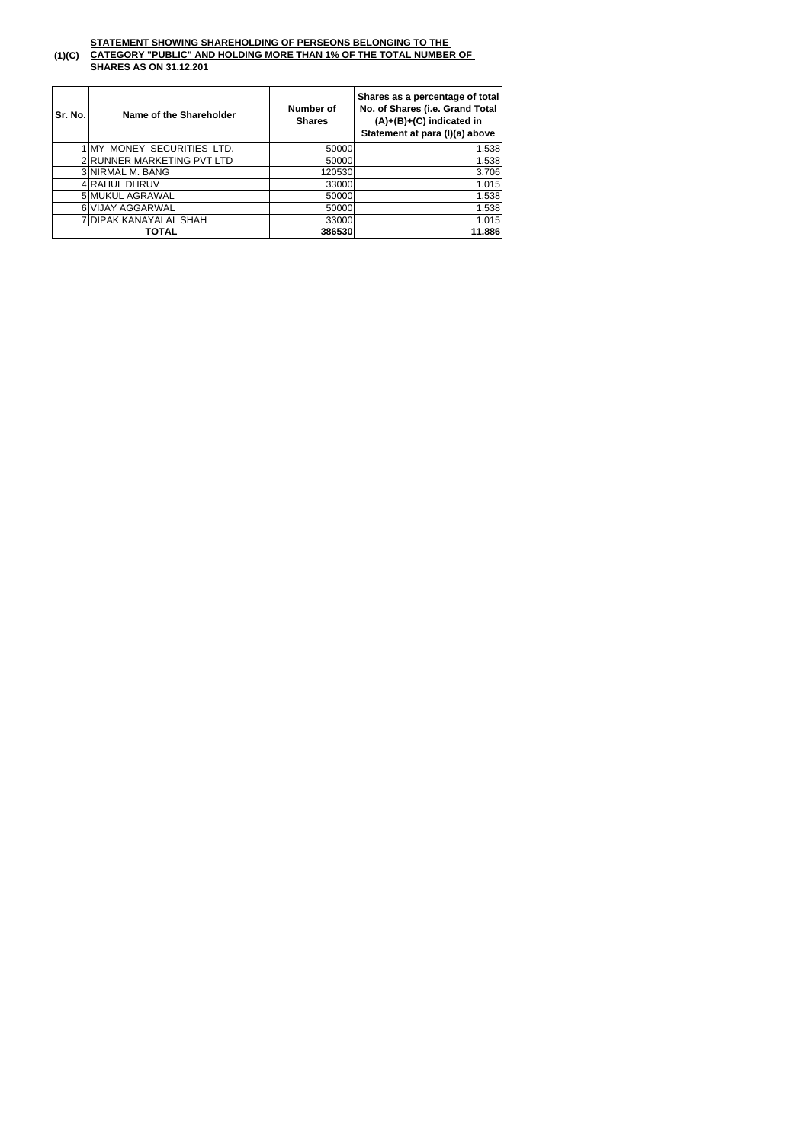#### **(1)(C) CATEGORY "PUBLIC" AND HOLDING MORE THAN 1% OF THE TOTAL NUMBER OF SHARES AS ON 31.12.201**

| Sr. No. | Name of the Shareholder    | Number of<br><b>Shares</b> | Shares as a percentage of total<br>No. of Shares (i.e. Grand Total<br>$(A)+(B)+(C)$ indicated in<br>Statement at para (I)(a) above |  |
|---------|----------------------------|----------------------------|------------------------------------------------------------------------------------------------------------------------------------|--|
|         | 1 MY MONEY SECURITIES LTD. | 50000                      | 1.538                                                                                                                              |  |
|         | 2 RUNNER MARKETING PVT LTD | 50000                      | 1.538                                                                                                                              |  |
|         | 3 NIRMAL M. BANG           | 120530                     | 3.706                                                                                                                              |  |
|         | 4 RAHUL DHRUV              | 33000                      | 1.015                                                                                                                              |  |
|         | 5 MUKUL AGRAWAL            | 50000                      | 1.538                                                                                                                              |  |
|         | 6 VIJAY AGGARWAL           | 50000                      | 1.538                                                                                                                              |  |
|         | 7 DIPAK KANAYALAL SHAH     | 33000                      | 1.015                                                                                                                              |  |
|         | TOTAL                      | 386530                     | 11.886                                                                                                                             |  |

## **STATEMENT SHOWING SHAREHOLDING OF PERSEONS BELONGING TO THE**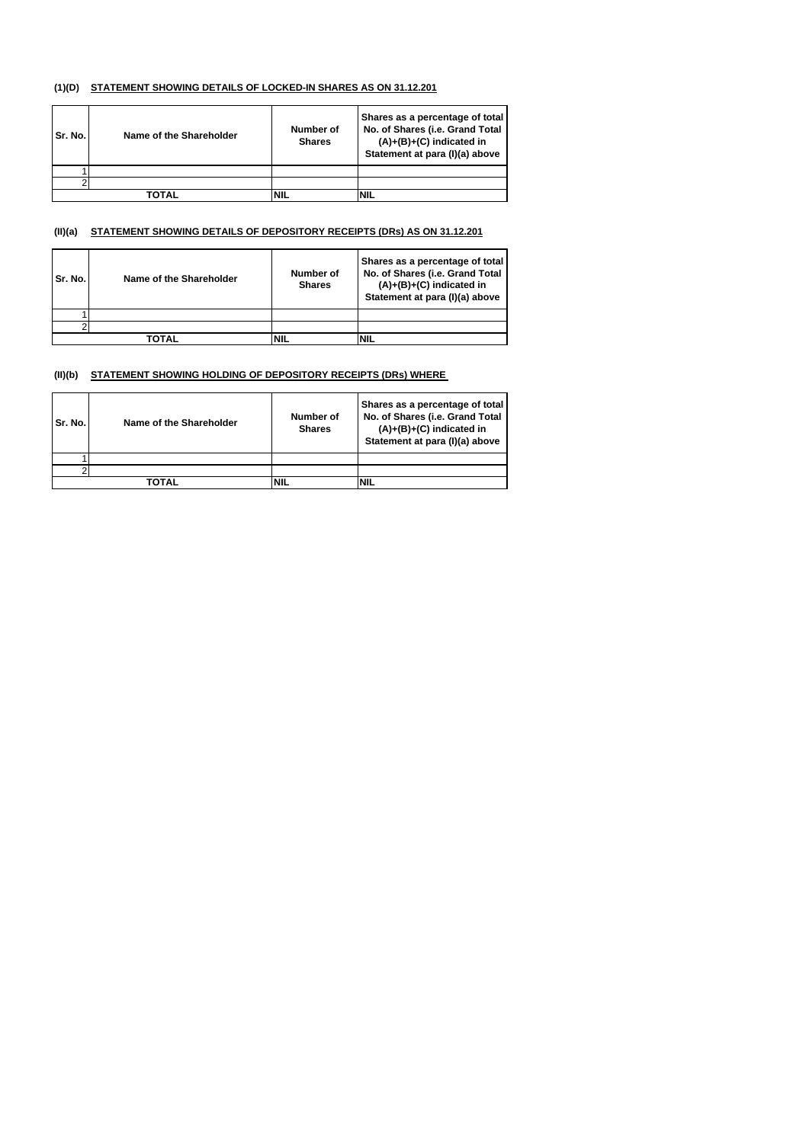#### **(1)(D) STATEMENT SHOWING DETAILS OF LOCKED-IN SHARES AS ON 31.12.201**

| Sr. No. | Name of the Shareholder | Number of<br><b>Shares</b> | Shares as a percentage of total<br>No. of Shares (i.e. Grand Total<br>$(A)+(B)+(C)$ indicated in<br>Statement at para (I)(a) above |
|---------|-------------------------|----------------------------|------------------------------------------------------------------------------------------------------------------------------------|
|         |                         |                            |                                                                                                                                    |
|         |                         |                            |                                                                                                                                    |
|         | ΤΟΤΑΙ                   |                            | NIL                                                                                                                                |

#### **(II)(a) STATEMENT SHOWING DETAILS OF DEPOSITORY RECEIPTS (DRs) AS ON 31.12.201**

| Sr. No. | Name of the Shareholder | <b>Number of</b><br><b>Shares</b> | Shares as a percentage of total<br>No. of Shares (i.e. Grand Total<br>$(A)+(B)+(C)$ indicated in<br>Statement at para (I)(a) above |
|---------|-------------------------|-----------------------------------|------------------------------------------------------------------------------------------------------------------------------------|
|         |                         |                                   |                                                                                                                                    |
|         |                         |                                   |                                                                                                                                    |
|         | <b>TOTAL</b>            | NIL                               | ΝIΙ                                                                                                                                |

#### **(II)(b) STATEMENT SHOWING HOLDING OF DEPOSITORY RECEIPTS (DRs) WHERE**

| Sr. No. | <b>Name of the Shareholder</b> | Number of<br><b>Shares</b> | Shares as a percentage of total<br>No. of Shares (i.e. Grand Total<br>$(A)+(B)+(C)$ indicated in<br>Statement at para (I)(a) above |
|---------|--------------------------------|----------------------------|------------------------------------------------------------------------------------------------------------------------------------|
|         |                                |                            |                                                                                                                                    |
|         |                                |                            |                                                                                                                                    |
|         | TOTAL                          | <b>NIL</b>                 | 'NIL                                                                                                                               |